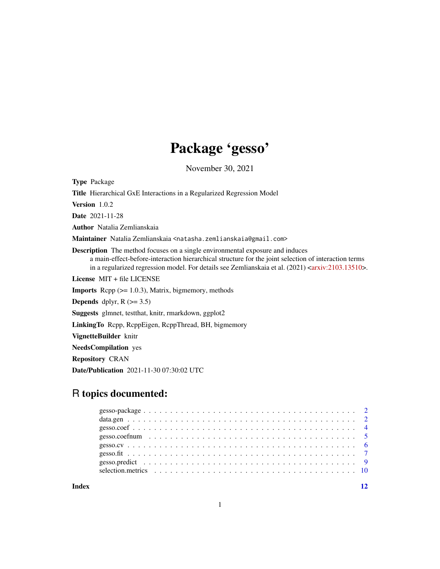## Package 'gesso'

November 30, 2021

Type Package Title Hierarchical GxE Interactions in a Regularized Regression Model Version 1.0.2 Date 2021-11-28 Author Natalia Zemlianskaia Maintainer Natalia Zemlianskaia <natasha.zemlianskaia@gmail.com> Description The method focuses on a single environmental exposure and induces a main-effect-before-interaction hierarchical structure for the joint selection of interaction terms in a regularized regression model. For details see Zemlianskaia et al.  $(2021)$  [<arxiv:2103.13510>](https://arxiv.org/abs/2103.13510). License MIT + file LICENSE **Imports** Rcpp  $(>= 1.0.3)$ , Matrix, bigmemory, methods **Depends** dplyr,  $R$  ( $> = 3.5$ ) Suggests glmnet, testthat, knitr, rmarkdown, ggplot2 LinkingTo Rcpp, RcppEigen, RcppThread, BH, bigmemory VignetteBuilder knitr NeedsCompilation yes Repository CRAN Date/Publication 2021-11-30 07:30:02 UTC

### R topics documented:

**Index** [12](#page-11-0)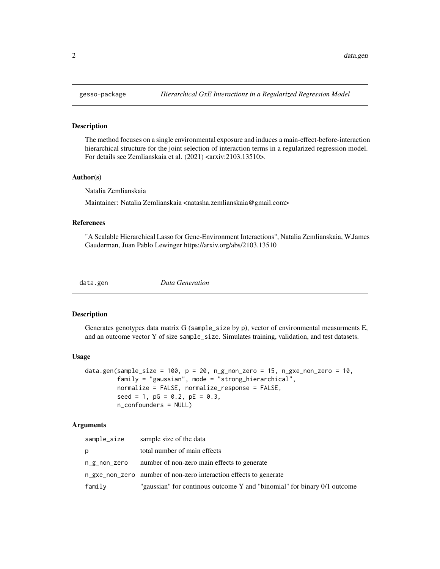#### **Description**

The method focuses on a single environmental exposure and induces a main-effect-before-interaction hierarchical structure for the joint selection of interaction terms in a regularized regression model. For details see Zemlianskaia et al. (2021) <arxiv:2103.13510>.

#### Author(s)

Natalia Zemlianskaia

Maintainer: Natalia Zemlianskaia <natasha.zemlianskaia@gmail.com>

#### References

"A Scalable Hierarchical Lasso for Gene-Environment Interactions", Natalia Zemlianskaia, W.James Gauderman, Juan Pablo Lewinger https://arxiv.org/abs/2103.13510

data.gen *Data Generation*

#### Description

Generates genotypes data matrix G (sample\_size by p), vector of environmental measurments E, and an outcome vector Y of size sample\_size. Simulates training, validation, and test datasets.

#### Usage

```
data.gen(sample_size = 100, p = 20, n_g_non_zero = 15, n_gxe_non_zero = 10,
         family = "gaussian", mode = "strong_hierarchical",
         normalize = FALSE, normalize_response = FALSE,
         seed = 1, pG = 0.2, pE = 0.3,
         n_confounders = NULL)
```
#### Arguments

| sample_size  | sample size of the data                                                  |
|--------------|--------------------------------------------------------------------------|
| p            | total number of main effects                                             |
| n_g_non_zero | number of non-zero main effects to generate                              |
|              | n_gxe_non_zero number of non-zero interaction effects to generate        |
| family       | "gaussian" for continous outcome Y and "binomial" for binary 0/1 outcome |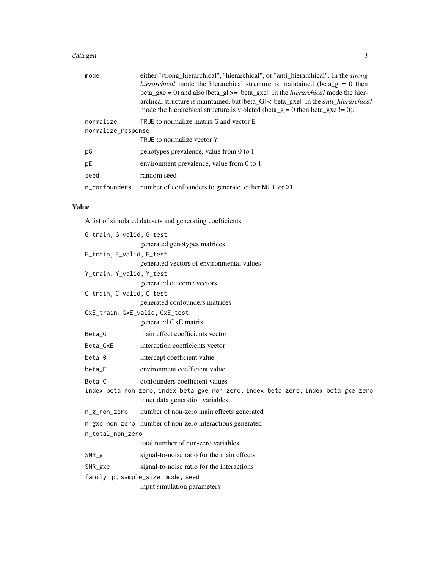#### data.gen 3

| mode               | either "strong_hierarchical", "hierarchical", or "anti_hierarchical". In the <i>strong</i>                                                                                   |  |
|--------------------|------------------------------------------------------------------------------------------------------------------------------------------------------------------------------|--|
|                    | <i>hierarchical</i> mode the hierarchical structure is maintained (beta $g = 0$ then                                                                                         |  |
|                    | beta_gxe = 0) and also lbeta_gl >= lbeta_gxel. In the <i>hierarchical</i> mode the hier-                                                                                     |  |
|                    | archical structure is maintained, but lbeta_G  <  beta_gxe . In the <i>anti_hierarchical</i><br>mode the hierarchical structure is violated (beta_g = 0 then beta_gxe != 0). |  |
| normalize          | TRUE to normalize matrix G and vector E                                                                                                                                      |  |
| normalize_response |                                                                                                                                                                              |  |
|                    | TRUE to normalize vector Y                                                                                                                                                   |  |
| рG                 | genotypes prevalence, value from 0 to 1                                                                                                                                      |  |
| pE                 | environment prevalence, value from 0 to 1                                                                                                                                    |  |
| seed               | random seed                                                                                                                                                                  |  |
| n_confounders      | number of confounders to generate, either NULL or >1                                                                                                                         |  |

#### Value

A list of simulated datasets and generating coefficients

| G_train, G_valid, G_test                                                           |                                                          |  |  |
|------------------------------------------------------------------------------------|----------------------------------------------------------|--|--|
|                                                                                    | generated genotypes matrices                             |  |  |
| E_train, E_valid, E_test                                                           |                                                          |  |  |
|                                                                                    | generated vectors of environmental values                |  |  |
| Y_train, Y_valid, Y_test                                                           |                                                          |  |  |
|                                                                                    | generated outcome vectors                                |  |  |
| C_train, C_valid, C_test                                                           |                                                          |  |  |
|                                                                                    | generated confounders matrices                           |  |  |
| GxE_train, GxE_valid, GxE_test                                                     |                                                          |  |  |
|                                                                                    | generated GxE matrix                                     |  |  |
| Beta_G                                                                             | main effect coefficients vector                          |  |  |
| Beta_GxE                                                                           | interaction coefficients vector                          |  |  |
| beta_0                                                                             | intercept coefficient value                              |  |  |
| beta_E                                                                             | environment coefficient value                            |  |  |
| Beta_C                                                                             | confounders coefficient values                           |  |  |
| index_beta_non_zero, index_beta_gxe_non_zero, index_beta_zero, index_beta_gxe_zero |                                                          |  |  |
|                                                                                    | inner data generation variables                          |  |  |
| n_g_non_zero                                                                       | number of non-zero main effects generated                |  |  |
|                                                                                    | n_gxe_non_zero number of non-zero interactions generated |  |  |
| n_total_non_zero                                                                   |                                                          |  |  |
|                                                                                    | total number of non-zero variables                       |  |  |
| $SNR_g$                                                                            | signal-to-noise ratio for the main effects               |  |  |
| $SNR_gxe$                                                                          | signal-to-noise ratio for the interactions               |  |  |
| family, p, sample_size, mode, seed                                                 |                                                          |  |  |
|                                                                                    | input simulation parameters                              |  |  |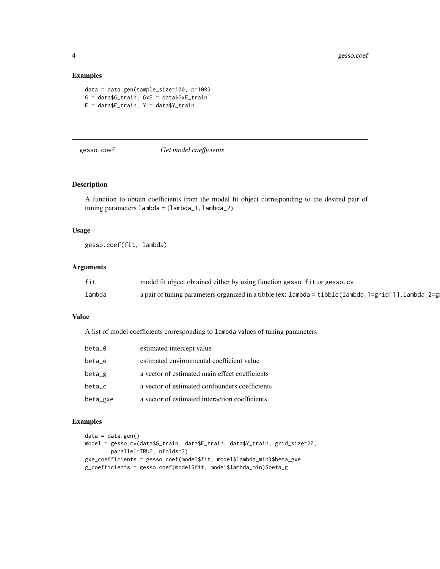#### Examples

```
data = data.gen(sample_size=100, p=100)
G = data$G_train; GxE = data$GxE_train
E = dataE_train; Y = dataY_train
```
#### gesso.coef *Get model coefficients*

#### Description

A function to obtain coefficients from the model fit object corresponding to the desired pair of tuning parameters  $l$ ambda =  $(l$ ambda $_1$ ,  $l$ ambda $_2$ ).

#### Usage

gesso.coef(fit, lambda)

#### Arguments

| fit    | model fit object obtained either by using function gesso. fit or gesso. cv                                             |
|--------|------------------------------------------------------------------------------------------------------------------------|
| lambda | a pair of tuning parameters organized in a tibble (ex: $l$ ambda = tibble ( $l$ ambda_ $l$ =grid[1], $l$ ambda_ $2$ =g |

#### Value

A list of model coefficients corresponding to lambda values of tuning parameters

| beta_0   | estimated intercept value                      |
|----------|------------------------------------------------|
| beta_e   | estimated environmental coefficient value      |
| $beta_g$ | a vector of estimated main effect coefficients |
| beta_c   | a vector of estimated confounders coefficients |
| beta_gxe | a vector of estimated interaction coefficients |

#### Examples

```
data = data.gen()
model = gesso.cv(data$G_train, data$E_train, data$Y_train, grid_size=20,
       parallel=TRUE, nfolds=3)
gxe_coefficients = gesso.coef(model$fit, model$lambda_min)$beta_gxe
g_coefficients = gesso.coef(model$fit, model$lambda_min)$beta_g
```
<span id="page-3-0"></span>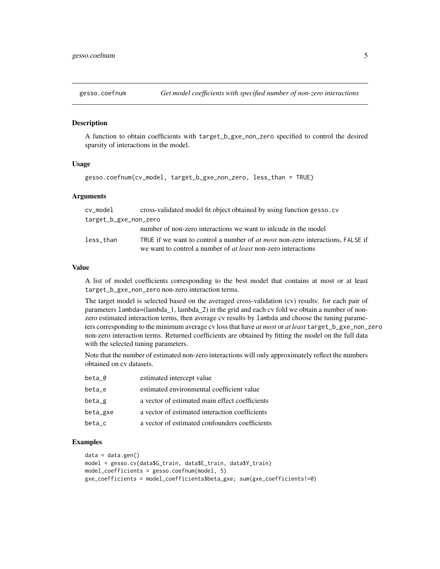<span id="page-4-0"></span>

#### Description

A function to obtain coefficients with target\_b\_gxe\_non\_zero specified to control the desired sparsity of interactions in the model.

#### Usage

gesso.coefnum(cv\_model, target\_b\_gxe\_non\_zero, less\_than = TRUE)

#### Arguments

| cv_model              | cross-validated model fit object obtained by using function gesso.cv                  |
|-----------------------|---------------------------------------------------------------------------------------|
| target_b_gxe_non_zero |                                                                                       |
|                       | number of non-zero interactions we want to include in the model                       |
| less than             | TRUE if we want to control a number of <i>at most</i> non-zero interactions, FALSE if |
|                       | we want to control a number of <i>at least</i> non-zero interactions                  |

#### Value

A list of model coefficients corresponding to the best model that contains at most or at least target\_b\_gxe\_non\_zero non-zero interaction terms.

The target model is selected based on the averaged cross-validation (cv) results: for each pair of parameters lambda=(lambda\_1, lambda\_2) in the grid and each cv fold we obtain a number of nonzero estimated interaction terms, then average cv results by lambda and choose the tuning parameters corresponding to the minimum average cv loss that have *at most* or *at least* target\_b\_gxe\_non\_zero non-zero interaction terms. Returned coefficients are obtained by fitting the model on the full data with the selected tuning parameters.

Note that the number of estimated non-zero interactions will only approximately reflect the numbers obtained on cv datasets.

| beta_0   | estimated intercept value                      |
|----------|------------------------------------------------|
| beta_e   | estimated environmental coefficient value      |
| $beta_g$ | a vector of estimated main effect coefficients |
| beta_gxe | a vector of estimated interaction coefficients |
| beta c   | a vector of estimated confounders coefficients |

#### Examples

```
data = data.gen()
model = gesso.cv(data$G_train, data$E_train, data$Y_train)
model_coefficients = gesso.coefnum(model, 5)
gxe_coefficients = model_coefficients$beta_gxe; sum(gxe_coefficients!=0)
```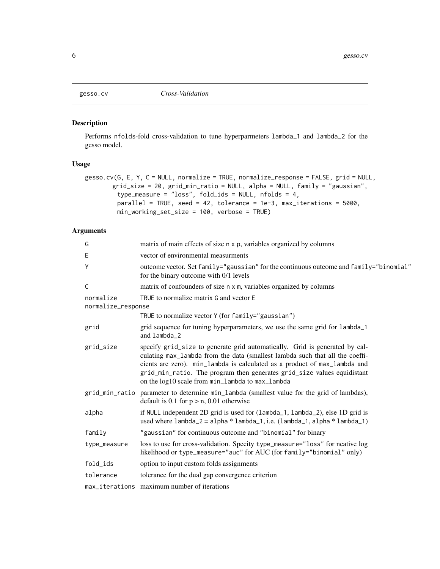<span id="page-5-0"></span>

#### Description

Performs nfolds-fold cross-validation to tune hyperparmeters lambda\_1 and lambda\_2 for the gesso model.

#### Usage

```
gesso.cv(G, E, Y, C = NULL, normalize = TRUE, normalize_response = FALSE, grid = NULL,
       grid_size = 20, grid_min_ratio = NULL, alpha = NULL, family = "gaussian",
         type_measure = "loss", fold_ids = NULL, nfolds = 4,
         parallel = TRUE, seed = 42, tolerance = 1e-3, max_iterations = 5000,
         min_working_set_size = 100, verbose = TRUE)
```
#### Arguments

| matrix of main effects of size n x p, variables organized by columns                                                                                                                                                                                                                                                                                                    |
|-------------------------------------------------------------------------------------------------------------------------------------------------------------------------------------------------------------------------------------------------------------------------------------------------------------------------------------------------------------------------|
| vector of environmental measurments                                                                                                                                                                                                                                                                                                                                     |
| outcome vector. Set family="gaussian" for the continuous outcome and family="binomial"<br>for the binary outcome with 0/1 levels                                                                                                                                                                                                                                        |
| matrix of confounders of size n x m, variables organized by columns                                                                                                                                                                                                                                                                                                     |
| TRUE to normalize matrix G and vector E<br>normalize_response                                                                                                                                                                                                                                                                                                           |
| TRUE to normalize vector Y (for family="gaussian")                                                                                                                                                                                                                                                                                                                      |
| grid sequence for tuning hyperparameters, we use the same grid for lambda_1<br>and lambda_2                                                                                                                                                                                                                                                                             |
| specify grid_size to generate grid automatically. Grid is generated by cal-<br>culating max_lambda from the data (smallest lambda such that all the coeffi-<br>cients are zero). min_lambda is calculated as a product of max_lambda and<br>grid_min_ratio. The program then generates grid_size values equidistant<br>on the log10 scale from min_lambda to max_lambda |
| parameter to determine min_lambda (smallest value for the grid of lambdas),<br>default is 0.1 for $p > n$ , 0.01 otherwise                                                                                                                                                                                                                                              |
| if NULL independent 2D grid is used for (lambda_1, lambda_2), else 1D grid is<br>used where $lambda_2 = alpha * lambda_1$ , i.e. $(lambda_1, alpha * lambda_1)$                                                                                                                                                                                                         |
| "gaussian" for continuous outcome and "binomial" for binary                                                                                                                                                                                                                                                                                                             |
| loss to use for cross-validation. Specity type_measure="loss" for neative log<br>likelihood or type_measure="auc" for AUC (for family="binomial" only)                                                                                                                                                                                                                  |
| option to input custom folds assignments                                                                                                                                                                                                                                                                                                                                |
| tolerance for the dual gap convergence criterion                                                                                                                                                                                                                                                                                                                        |
| max_iterations maximum number of iterations                                                                                                                                                                                                                                                                                                                             |
|                                                                                                                                                                                                                                                                                                                                                                         |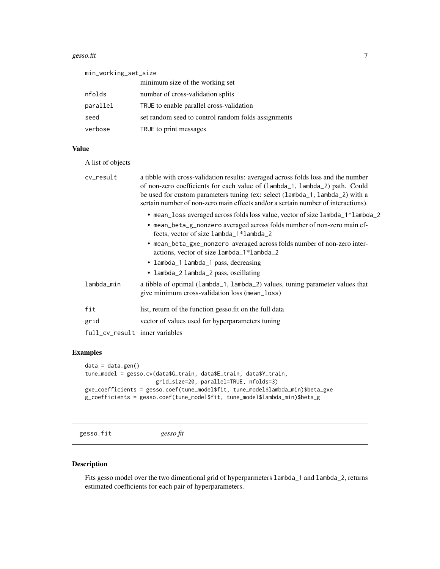#### <span id="page-6-0"></span>gesso.fit  $\overline{7}$

| min_working_set_size |                                                     |  |
|----------------------|-----------------------------------------------------|--|
|                      | minimum size of the working set                     |  |
| nfolds               | number of cross-validation splits                   |  |
| parallel             | TRUE to enable parallel cross-validation            |  |
| seed                 | set random seed to control random folds assignments |  |
| verbose              | TRUE to print messages                              |  |

#### Value

A list of objects

| cv_result                      | a tibble with cross-validation results: averaged across folds loss and the number<br>of non-zero coefficients for each value of (lambda_1, lambda_2) path. Could<br>be used for custom parameters tuning (ex: select (lambda_1, lambda_2) with a<br>sertain number of non-zero main effects and/or a sertain number of interactions). |
|--------------------------------|---------------------------------------------------------------------------------------------------------------------------------------------------------------------------------------------------------------------------------------------------------------------------------------------------------------------------------------|
|                                | • mean_loss averaged across folds loss value, vector of size lambda_1*lambda_2<br>• mean_beta_g_nonzero averaged across folds number of non-zero main ef-<br>fects, vector of size lambda_1*lambda_2                                                                                                                                  |
|                                | • mean_beta_gxe_nonzero averaged across folds number of non-zero inter-<br>actions, vector of size lambda_1*lambda_2<br>• lambda_1 lambda_1 pass, decreasing<br>• lambda_2 lambda_2 pass, oscillating                                                                                                                                 |
| lambda_min                     | a tibble of optimal (lambda_1, lambda_2) values, tuning parameter values that<br>give minimum cross-validation loss (mean_loss)                                                                                                                                                                                                       |
| fit                            | list, return of the function gesso.fit on the full data                                                                                                                                                                                                                                                                               |
| grid                           | vector of values used for hyperparameters tuning                                                                                                                                                                                                                                                                                      |
| full_cv_result inner variables |                                                                                                                                                                                                                                                                                                                                       |

#### Examples

```
data = data.get()tune_model = gesso.cv(data$G_train, data$E_train, data$Y_train,
                     grid_size=20, parallel=TRUE, nfolds=3)
gxe_coefficients = gesso.coef(tune_model$fit, tune_model$lambda_min)$beta_gxe
g_coefficients = gesso.coef(tune_model$fit, tune_model$lambda_min)$beta_g
```
gesso.fit *gesso fit*

#### Description

Fits gesso model over the two dimentional grid of hyperparmeters lambda\_1 and lambda\_2, returns estimated coefficients for each pair of hyperparameters.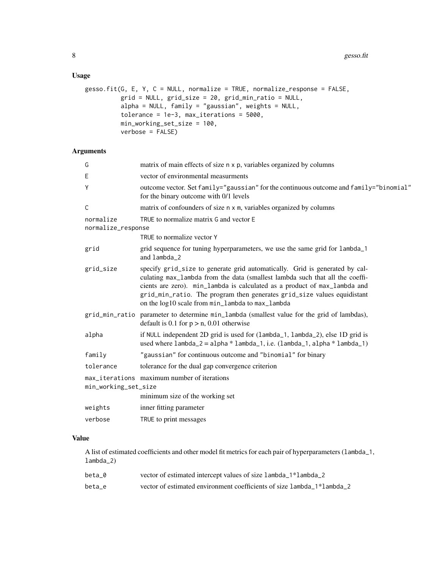#### Usage

```
gesso.fit(G, E, Y, C = NULL, normalize = TRUE, normalize_response = FALSE,
          grid = NULL, grid_size = 20, grid_min_ratio = NULL,
          alpha = NULL, family = "gaussian", weights = NULL,
          tolerance = 1e-3, max_iterations = 5000,
          min_working_set_size = 100,
          verbose = FALSE)
```
#### Arguments

| G                               | matrix of main effects of size n x p, variables organized by columns                                                                                                                                                                                                                                                                                                    |
|---------------------------------|-------------------------------------------------------------------------------------------------------------------------------------------------------------------------------------------------------------------------------------------------------------------------------------------------------------------------------------------------------------------------|
| E                               | vector of environmental measurments                                                                                                                                                                                                                                                                                                                                     |
| Υ                               | outcome vector. Set family="gaussian" for the continuous outcome and family="binomial"<br>for the binary outcome with 0/1 levels                                                                                                                                                                                                                                        |
| C                               | matrix of confounders of size n x m, variables organized by columns                                                                                                                                                                                                                                                                                                     |
| normalize<br>normalize_response | TRUE to normalize matrix G and vector E                                                                                                                                                                                                                                                                                                                                 |
|                                 | TRUE to normalize vector Y                                                                                                                                                                                                                                                                                                                                              |
| grid                            | grid sequence for tuning hyperparameters, we use the same grid for lambda_1<br>and lambda_2                                                                                                                                                                                                                                                                             |
| grid_size                       | specify grid_size to generate grid automatically. Grid is generated by cal-<br>culating max_lambda from the data (smallest lambda such that all the coeffi-<br>cients are zero). min_lambda is calculated as a product of max_lambda and<br>grid_min_ratio. The program then generates grid_size values equidistant<br>on the log10 scale from min_lambda to max_lambda |
| grid_min_ratio                  | parameter to determine min_lambda (smallest value for the grid of lambdas),<br>default is 0.1 for $p > n$ , 0.01 otherwise                                                                                                                                                                                                                                              |
| alpha                           | if NULL independent 2D grid is used for (lambda_1, lambda_2), else 1D grid is<br>used where $lambda_2 = alpha * lambda_1$ , i.e. $(lambda_1, alpha * lambda_1)$                                                                                                                                                                                                         |
| family                          | "gaussian" for continuous outcome and "binomial" for binary                                                                                                                                                                                                                                                                                                             |
| tolerance                       | tolerance for the dual gap convergence criterion                                                                                                                                                                                                                                                                                                                        |
| min_working_set_size            | max_iterations maximum number of iterations<br>minimum size of the working set                                                                                                                                                                                                                                                                                          |
| weights                         | inner fitting parameter                                                                                                                                                                                                                                                                                                                                                 |
| verbose                         | TRUE to print messages                                                                                                                                                                                                                                                                                                                                                  |
|                                 |                                                                                                                                                                                                                                                                                                                                                                         |

#### Value

A list of estimated coefficients and other model fit metrics for each pair of hyperparameters (lambda\_1, lambda\_2)

| beta 0 | vector of estimated intercept values of size lambda_1*lambda_2         |
|--------|------------------------------------------------------------------------|
| beta e | vector of estimated environment coefficients of size lambda 1*lambda 2 |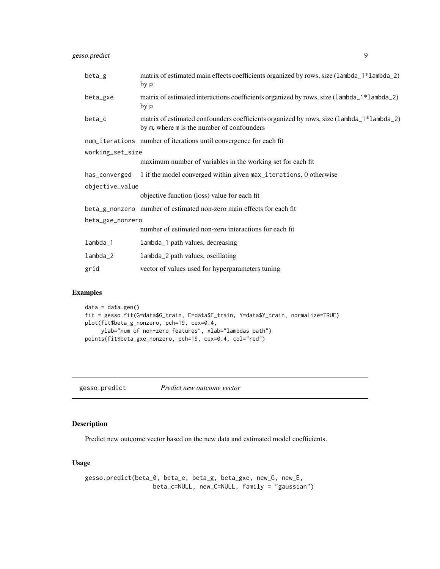<span id="page-8-0"></span>gesso.predict 9

| $beta_g$         | matrix of estimated main effects coefficients organized by rows, size (lambda_1*lambda_2)<br>by p                                      |  |
|------------------|----------------------------------------------------------------------------------------------------------------------------------------|--|
| beta_gxe         | matrix of estimated interactions coefficients organized by rows, size (lambda_1*lambda_2)<br>by p                                      |  |
| beta_c           | matrix of estimated confounders coefficients organized by rows, size (lambda_1*lambda_2)<br>by m, where m is the number of confounders |  |
|                  | num_iterations number of iterations until convergence for each fit                                                                     |  |
| working_set_size |                                                                                                                                        |  |
|                  | maximum number of variables in the working set for each fit                                                                            |  |
|                  | has_converged 1 if the model converged within given max_iterations, 0 otherwise                                                        |  |
| objective_value  |                                                                                                                                        |  |
|                  | objective function (loss) value for each fit                                                                                           |  |
|                  | beta_g_nonzero number of estimated non-zero main effects for each fit                                                                  |  |
| beta_gxe_nonzero |                                                                                                                                        |  |
|                  | number of estimated non-zero interactions for each fit                                                                                 |  |
| lambda_1         | lambda_1 path values, decreasing                                                                                                       |  |
| $lambda_2$       | lambda_2 path values, oscillating                                                                                                      |  |
| grid             | vector of values used for hyperparameters tuning                                                                                       |  |

#### Examples

```
data = data.gen()
fit = gesso.fit(G=data$G_train, E=data$E_train, Y=data$Y_train, normalize=TRUE)
plot(fit$beta_g_nonzero, pch=19, cex=0.4,
    ylab="num of non-zero features", xlab="lambdas path")
points(fit$beta_gxe_nonzero, pch=19, cex=0.4, col="red")
```
gesso.predict *Predict new outcome vector*

#### Description

Predict new outcome vector based on the new data and estimated model coefficients.

#### Usage

```
gesso.predict(beta_0, beta_e, beta_g, beta_gxe, new_G, new_E,
                  beta_c=NULL, new_C=NULL, family = "gaussian")
```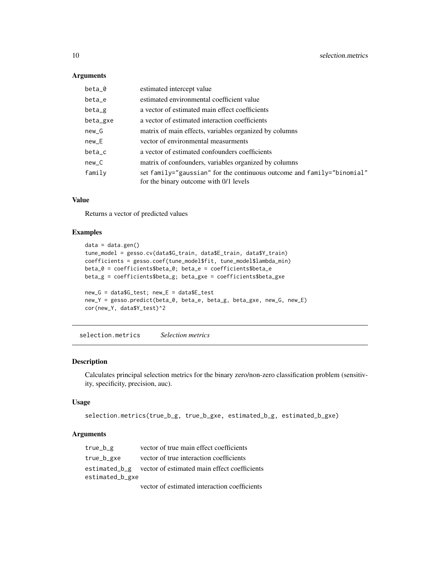#### Arguments

| beta_0   | estimated intercept value                                                                                        |
|----------|------------------------------------------------------------------------------------------------------------------|
| beta_e   | estimated environmental coefficient value                                                                        |
| beta_g   | a vector of estimated main effect coefficients                                                                   |
| beta_gxe | a vector of estimated interaction coefficients                                                                   |
| $new_G$  | matrix of main effects, variables organized by columns                                                           |
| $new_E$  | vector of environmental measurments                                                                              |
| beta_c   | a vector of estimated confounders coefficients                                                                   |
| $new_C$  | matrix of confounders, variables organized by columns                                                            |
| family   | set family="gaussian" for the continuous outcome and family="binomial"<br>for the binary outcome with 0/1 levels |

#### Value

Returns a vector of predicted values

#### Examples

```
data = data.gen()
tune_model = gesso.cv(data$G_train, data$E_train, data$Y_train)
coefficients = gesso.coef(tune_model$fit, tune_model$lambda_min)
beta_0 = coefficients$beta_0; beta_e = coefficients$beta_e
beta_g = coefficients$beta_g; beta_gxe = coefficients$beta_gxe
new_G = data$G_test; new_E = data$E_test
new_Y = gesso.predict(beta_0, beta_e, beta_g, beta_gxe, new_G, new_E)
cor(new_Y, data$Y_test)^2
```
selection.metrics *Selection metrics*

#### Description

Calculates principal selection metrics for the binary zero/non-zero classification problem (sensitivity, specificity, precision, auc).

#### Usage

```
selection.metrics(true_b_g, true_b_gxe, estimated_b_g, estimated_b_gxe)
```
#### Arguments

| $true_b_g$      | vector of true main effect coefficients                    |
|-----------------|------------------------------------------------------------|
| true_b_gxe      | vector of true interaction coefficients                    |
|                 | estimated_b_g vector of estimated main effect coefficients |
| estimated_b_gxe |                                                            |
|                 | vector of estimated interaction coefficients               |

<span id="page-9-0"></span>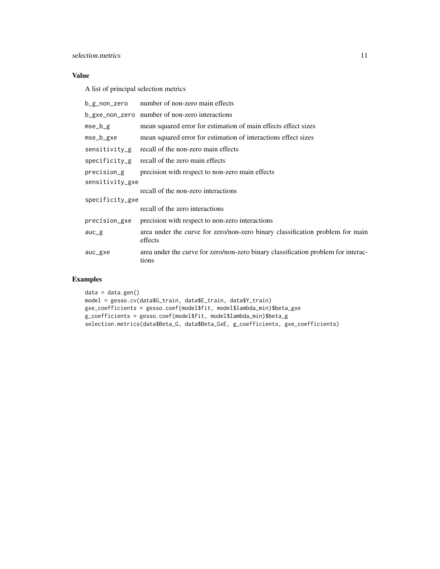#### Value

A list of principal selection metrics

| b_g_non_zero    | number of non-zero main effects                                                            |  |
|-----------------|--------------------------------------------------------------------------------------------|--|
|                 | b_gxe_non_zero number of non-zero interactions                                             |  |
| mse_b_g         | mean squared error for estimation of main effects effect sizes                             |  |
| mse_b_gxe       | mean squared error for estimation of interactions effect sizes                             |  |
| sensitivity_g   | recall of the non-zero main effects                                                        |  |
| specificity_g   | recall of the zero main effects                                                            |  |
| precision_g     | precision with respect to non-zero main effects                                            |  |
| sensitivity_gxe |                                                                                            |  |
|                 | recall of the non-zero interactions                                                        |  |
| specificity_gxe |                                                                                            |  |
|                 | recall of the zero interactions                                                            |  |
| precision_gxe   | precision with respect to non-zero interactions                                            |  |
| $auc_g$         | area under the curve for zero/non-zero binary classification problem for main<br>effects   |  |
| auc_gxe         | area under the curve for zero/non-zero binary classification problem for interac-<br>tions |  |

#### Examples

```
data = data.gen()
model = gesso.cv(data$G_train, data$E_train, data$Y_train)
gxe_coefficients = gesso.coef(model$fit, model$lambda_min)$beta_gxe
g_coefficients = gesso.coef(model$fit, model$lambda_min)$beta_g
selection.metrics(data$Beta_G, data$Beta_GxE, g_coefficients, gxe_coefficients)
```